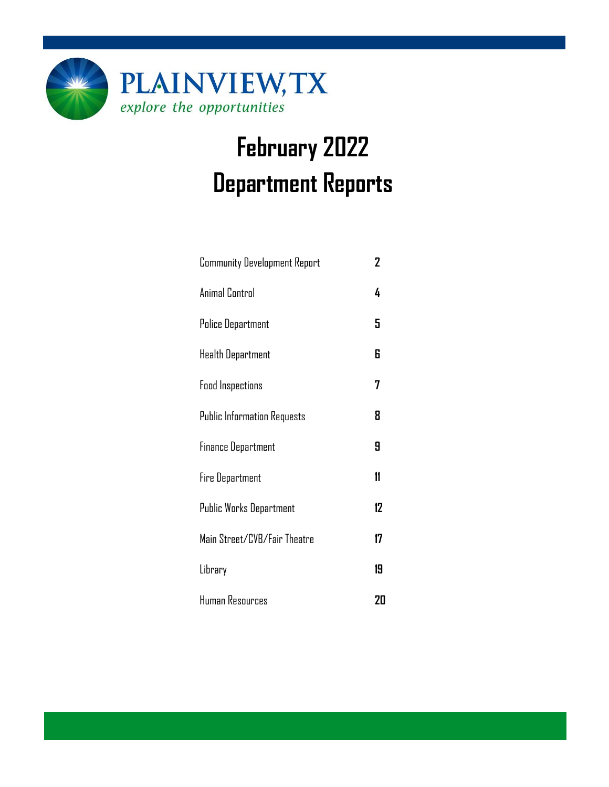

# **February 2022 Department Reports**

| <b>Community Development Report</b> | 2  |
|-------------------------------------|----|
| Animal Control                      | 4  |
| <b>Police Department</b>            | 5  |
| Health Department                   | 6  |
| <b>Food Inspections</b>             | 7  |
| <b>Public Information Requests</b>  | 8  |
| <b>Finance Department</b>           | 9  |
| <b>Fire Department</b>              | 11 |
| Public Works Department             | 12 |
| Main Street/CVB/Fair Theatre        | 17 |
| Library                             | 19 |
| Human Resources                     | 20 |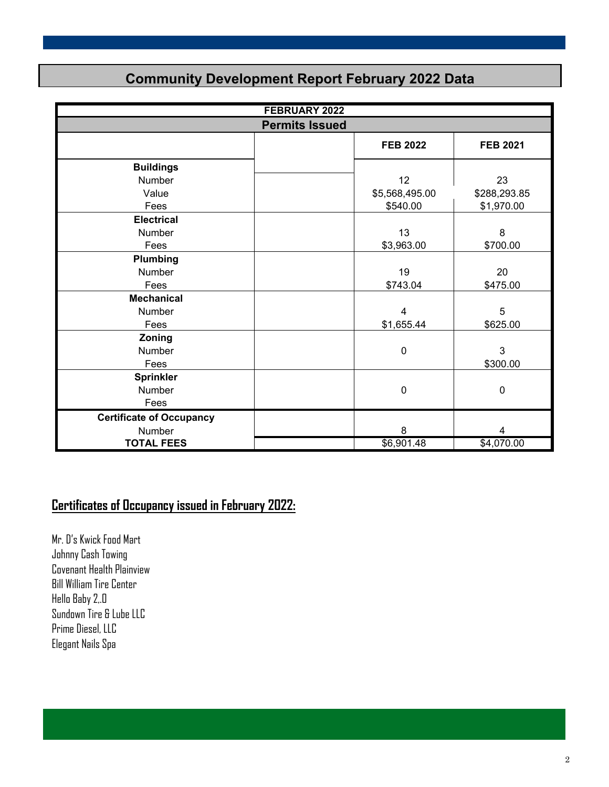### **Community Development Report February 2022 Data**

| FEBRUARY 2022                   |  |                         |                 |  |  |  |
|---------------------------------|--|-------------------------|-----------------|--|--|--|
| <b>Permits Issued</b>           |  |                         |                 |  |  |  |
|                                 |  | <b>FEB 2022</b>         | <b>FEB 2021</b> |  |  |  |
| <b>Buildings</b>                |  |                         |                 |  |  |  |
| Number                          |  | 12                      | 23              |  |  |  |
| Value                           |  | \$5,568,495.00          | \$288,293.85    |  |  |  |
| Fees                            |  | \$540.00                | \$1,970.00      |  |  |  |
| <b>Electrical</b>               |  |                         |                 |  |  |  |
| Number                          |  | 13                      | 8               |  |  |  |
| Fees                            |  | \$3,963.00              | \$700.00        |  |  |  |
| Plumbing                        |  |                         |                 |  |  |  |
| Number                          |  | 19                      | 20              |  |  |  |
| Fees                            |  | \$743.04                | \$475.00        |  |  |  |
| <b>Mechanical</b>               |  |                         |                 |  |  |  |
| Number                          |  | $\overline{\mathbf{4}}$ | 5               |  |  |  |
| Fees                            |  | \$1,655.44              | \$625.00        |  |  |  |
| Zoning                          |  |                         |                 |  |  |  |
| Number                          |  | $\mathbf 0$             | 3               |  |  |  |
| Fees                            |  |                         | \$300.00        |  |  |  |
| <b>Sprinkler</b>                |  |                         |                 |  |  |  |
| Number                          |  | $\pmb{0}$               | $\mathbf 0$     |  |  |  |
| Fees                            |  |                         |                 |  |  |  |
| <b>Certificate of Occupancy</b> |  |                         |                 |  |  |  |
| Number                          |  | $\bf 8$                 | 4               |  |  |  |
| <b>TOTAL FEES</b>               |  | \$6,901.48              | \$4,070.00      |  |  |  |

#### **Certificates of Occupancy issued in February 2022:**

Mr. D's Kwick Food Mart Johnny Cash Towing Covenant Health Plainview Bill William Tire Center Hello Baby 2,.0 Sundown Tire & Lube LLC Prime Diesel, LLC Elegant Nails Spa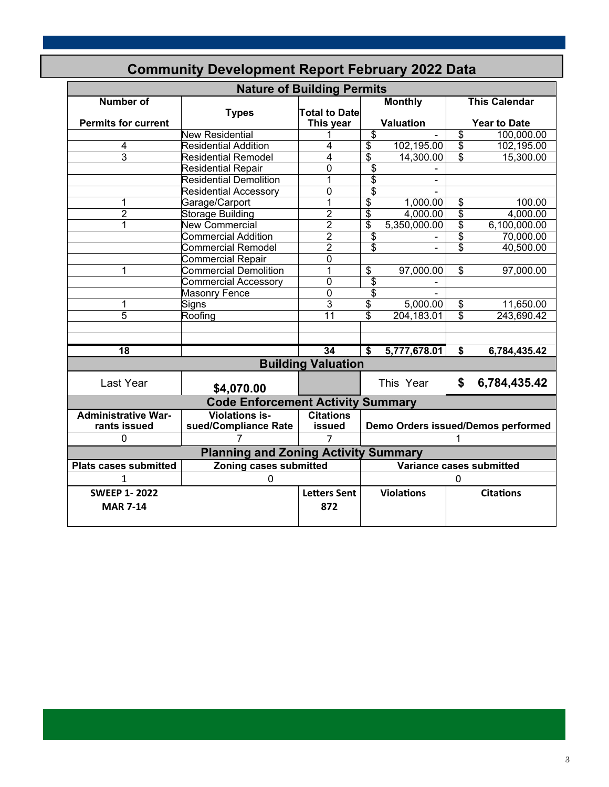| <b>Nature of Building Permits</b>              |                                               |                                                       |                                      |                   |                            |                                             |
|------------------------------------------------|-----------------------------------------------|-------------------------------------------------------|--------------------------------------|-------------------|----------------------------|---------------------------------------------|
| <b>Number of</b><br><b>Permits for current</b> | <b>Types</b>                                  | <b>Total to Date</b><br><b>Valuation</b><br>This year |                                      | <b>Monthly</b>    |                            | <b>This Calendar</b><br><b>Year to Date</b> |
|                                                | <b>New Residential</b>                        |                                                       | \$                                   |                   | \$                         | 100,000.00                                  |
| 4                                              | <b>Residential Addition</b>                   | $\overline{4}$                                        | \$                                   | 102,195.00        | $\overline{\$}$            | 102,195.00                                  |
| $\overline{3}$                                 | <b>Residential Remodel</b>                    | $\overline{4}$                                        | $\overline{\$}$                      | 14,300.00         | $\overline{\$}$            | 15,300.00                                   |
|                                                | Residential Repair                            | 0                                                     | $\overline{\boldsymbol{\theta}}$     |                   |                            |                                             |
|                                                | <b>Residential Demolition</b>                 | 1                                                     | \$                                   | $\blacksquare$    |                            |                                             |
|                                                | <b>Residential Accessory</b>                  | 0                                                     | $\overline{\boldsymbol{\mathsf{S}}}$ |                   |                            |                                             |
| 1                                              | Garage/Carport                                | $\overline{1}$                                        | \$                                   | 1,000.00          | \$                         | 100.00                                      |
| $\overline{2}$                                 | Storage Building                              | $\overline{2}$                                        | \$                                   | 4,000.00          | $\dot{\bar{\mathfrak{s}}}$ | 4,000.00                                    |
| 1                                              | <b>New Commercial</b>                         | $\overline{2}$                                        | \$                                   | 5,350,000.00      | \$                         | 6,100,000.00                                |
|                                                | <b>Commercial Addition</b>                    | $\overline{2}$                                        | $\overline{\$}$                      |                   | \$                         | 70,000.00                                   |
|                                                | <b>Commercial Remodel</b>                     | $\overline{2}$                                        | \$                                   |                   | \$                         | 40,500.00                                   |
|                                                | <b>Commercial Repair</b>                      | 0                                                     |                                      |                   |                            |                                             |
| 1                                              | <b>Commercial Demolition</b>                  | 1                                                     | \$                                   | 97,000.00         | \$                         | 97,000.00                                   |
|                                                | <b>Commercial Accessory</b>                   | $\overline{0}$                                        | $\overline{\mathcal{S}}$             |                   |                            |                                             |
|                                                | <b>Masonry Fence</b>                          | $\overline{0}$                                        | $\overline{\$}$                      |                   |                            |                                             |
| 1                                              | Signs                                         | $\overline{3}$                                        | \$                                   | 5,000.00          | $\overline{\$}$            | 11,650.00                                   |
| 5                                              | Roofing                                       | $\overline{11}$                                       | \$                                   | 204, 183.01       | \$                         | 243,690.42                                  |
|                                                |                                               |                                                       |                                      |                   |                            |                                             |
|                                                |                                               |                                                       |                                      |                   |                            |                                             |
| 18                                             |                                               | 34                                                    | \$                                   | 5,777,678.01      | \$                         | 6,784,435.42                                |
|                                                |                                               | <b>Building Valuation</b>                             |                                      |                   |                            |                                             |
| Last Year                                      | \$4,070.00                                    |                                                       |                                      | This Year         | \$                         | 6,784,435.42                                |
|                                                | <b>Code Enforcement Activity Summary</b>      |                                                       |                                      |                   |                            |                                             |
| <b>Administrative War-</b><br>rants issued     | <b>Violations is-</b><br>sued/Compliance Rate | <b>Citations</b><br>issued                            |                                      |                   |                            | Demo Orders issued/Demos performed          |
| $\mathbf{0}$                                   |                                               |                                                       |                                      |                   | 1                          |                                             |
|                                                | <b>Planning and Zoning Activity Summary</b>   |                                                       |                                      |                   |                            |                                             |
| <b>Plats cases submitted</b>                   | Zoning cases submitted                        |                                                       | Variance cases submitted             |                   |                            |                                             |
| 1                                              | O                                             |                                                       |                                      |                   | 0                          |                                             |
| <b>SWEEP 1-2022</b>                            |                                               | <b>Letters Sent</b>                                   |                                      | <b>Violations</b> |                            | <b>Citations</b>                            |
| <b>MAR 7-14</b>                                |                                               | 872                                                   |                                      |                   |                            |                                             |
|                                                |                                               |                                                       |                                      |                   |                            |                                             |

### **Community Development Report February 2022 Data**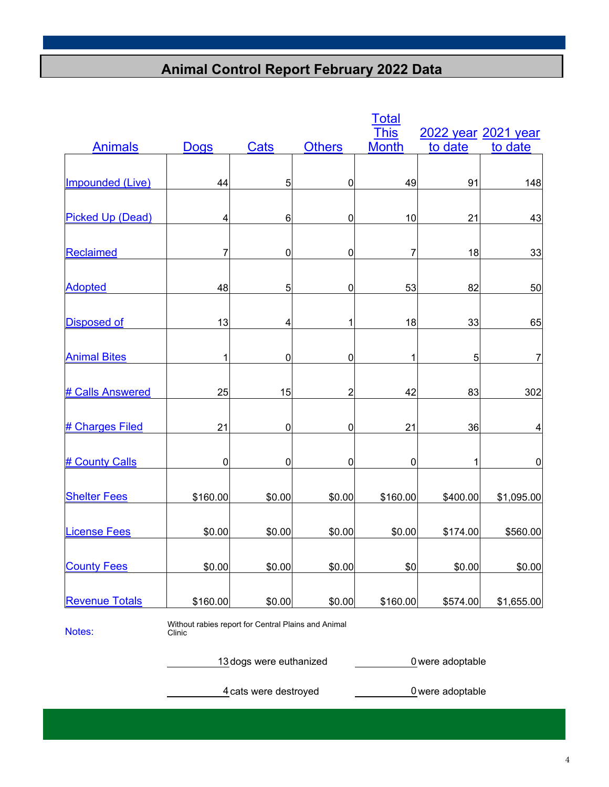### **Animal Control Report February 2022 Data**

|                         |             |                |                | <b>Total</b> |          |                     |
|-------------------------|-------------|----------------|----------------|--------------|----------|---------------------|
|                         |             |                |                | <b>This</b>  |          | 2022 year 2021 year |
| <b>Animals</b>          | <b>Dogs</b> | <b>Cats</b>    | <b>Others</b>  | <b>Month</b> | to date  | to date             |
|                         |             |                |                |              |          |                     |
| Impounded (Live)        | 44          | 5              | 0              | 49           | 91       | 148                 |
|                         |             |                |                |              |          |                     |
| <b>Picked Up (Dead)</b> | 4           | $6\phantom{1}$ | 0              | 10           | 21       | 43                  |
|                         |             |                |                |              |          |                     |
| <b>Reclaimed</b>        | 7           | 0              | 0              | 7            | 18       | 33                  |
|                         |             |                |                |              |          |                     |
| <b>Adopted</b>          | 48          | 5              | 0              | 53           | 82       | 50                  |
|                         |             |                |                |              |          |                     |
| <b>Disposed of</b>      | 13          | 4              | 1              | 18           | 33       | 65                  |
|                         |             |                |                |              |          |                     |
| <b>Animal Bites</b>     | 1           | $\mathbf 0$    | 0              | 1            | 5        | $\overline{7}$      |
|                         |             |                |                |              |          |                     |
| # Calls Answered        | 25          | 15             | $\overline{2}$ | 42           | 83       | 302                 |
|                         |             |                |                |              |          |                     |
| # Charges Filed         | 21          | 0              | 0              | 21           | 36       | 4                   |
|                         |             |                |                |              |          |                     |
| # County Calls          | $\mathbf 0$ | $\mathbf 0$    | 0              | $\mathbf 0$  | 1        | $\boldsymbol{0}$    |
|                         |             |                |                |              |          |                     |
| <b>Shelter Fees</b>     | \$160.00    | \$0.00         | \$0.00         | \$160.00     | \$400.00 | \$1,095.00          |
|                         |             |                |                |              |          |                     |
| <b>License Fees</b>     | \$0.00      | \$0.00         | \$0.00         | \$0.00       | \$174.00 | \$560.00            |
|                         |             |                |                |              |          |                     |
| <b>County Fees</b>      | \$0.00      | \$0.00         | \$0.00         | \$0          | \$0.00   | \$0.00              |
|                         |             |                |                |              |          |                     |
| <b>Revenue Totals</b>   | \$160.00    | \$0.00         | \$0.00         | \$160.00     | \$574.00 | \$1,655.00          |

Notes: Without rabies report for Central Plains and Animal Clinic

13 dogs were euthanized **13** dogs were adoptable

4 cats were destroyed 0 were adoptable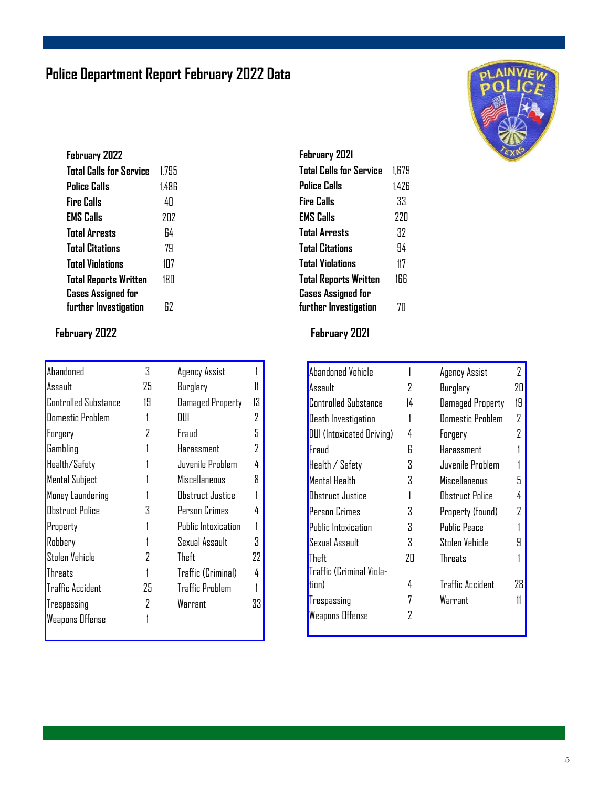### **Police Department Report February 2022 Data**

| INVIEW |
|--------|
|        |
|        |
|        |
|        |
|        |
|        |
|        |
|        |
|        |
|        |
|        |
|        |
|        |

| February 2022                  |       |
|--------------------------------|-------|
| <b>Total Calls for Service</b> | 1.795 |
| <b>Police Calls</b>            | 1.486 |
| Fire Calls                     | 4П    |
| <b>EMS Calls</b>               | 7П7   |
| <b>Total Arrests</b>           | R4    |
| <b>Total Citations</b>         | 79    |
| <b>Total Violations</b>        | 107   |
| <b>Total Reports Written</b>   | 180   |
| <b>Cases Assigned for</b>      |       |
| further Investigation          | 67    |
|                                |       |

#### **February 2022 February 2021**

| Abandoned                   | 3   | Agency Assist          |    |
|-----------------------------|-----|------------------------|----|
| Assault                     | 25  | Burglary               |    |
| <b>Controlled Substance</b> | 1.9 | Damaged Property       | 13 |
| <b>Domestic Problem</b>     |     | וווח                   | 2  |
| Forgery                     | 2   | Fraud                  | 5  |
| Gambling                    |     | Harassment             | 7  |
| Health/Safety               |     | Juvenile Problem       | 4  |
| <b>Mental Subject</b>       |     | <b>Miscellaneous</b>   | 8  |
| Money Laundering            |     | Obstruct Justice       |    |
| <b>Obstruct Police</b>      | 3   | Person Crimes          |    |
| Property                    |     | Public Intoxication    |    |
| Robbery                     |     | Sexual Assault         | 3  |
| Stolen Vehicle              | 7   | Theft                  | 22 |
| Threats                     |     | Traffic (Criminal)     | 4  |
| <b>Traffic Accident</b>     | 25  | <b>Traffic Problem</b> |    |
| Trespassing                 | 2   | Warrant                | 33 |
| Weapons Offense             |     |                        |    |
|                             |     |                        |    |

| February 2021                  |       |
|--------------------------------|-------|
| <b>Total Calls for Service</b> | 1.679 |
| Police Calls                   | 1.426 |
| <b>Fire Calls</b>              | 33    |
| <b>EMS Calls</b>               | 77N   |
| <b>Total Arrests</b>           | 37    |
| <b>Total Citations</b>         | 94    |
| <b>Total Violations</b>        | 117   |
| <b>Total Reports Written</b>   | 166   |
| <b>Cases Assigned for</b>      |       |
| further Investigation          | 7Π    |
|                                |       |

| Abandoned Vehicle                |    | Agency Assist           | 2  |
|----------------------------------|----|-------------------------|----|
| Assault                          | 2  | Burglary                | 20 |
| Controlled Substance             | 14 | Damaged Property        | 19 |
| Death Investigation              |    | <b>Domestic Problem</b> | 2  |
| <b>DUI</b> (Intoxicated Driving) | 4  | Forgery                 |    |
| Fraud                            | 6  | Harassment              |    |
| Health / Safety                  | 3  | Juvenile Problem        |    |
| Mental Health                    | Χ  | Miscellaneous           | 5  |
| Obstruct Justice                 |    | <b>Obstruct Police</b>  | 4  |
| Person Crimes                    | 3  | Property (found)        | 7  |
| <b>Public Intoxication</b>       | 3  | Public Peace            |    |
| Sexual Assault                   | 3  | Stolen Vehicle          | 9  |
| Theft                            | 20 | Threats                 |    |
| Traffic (Criminal Viola-         |    |                         |    |
| tion)                            | 4  | <b>Traffic Accident</b> | 78 |
| Trespassing                      | 7  | Warrant                 | 11 |
| Weapons Offense                  | 2  |                         |    |
|                                  |    |                         |    |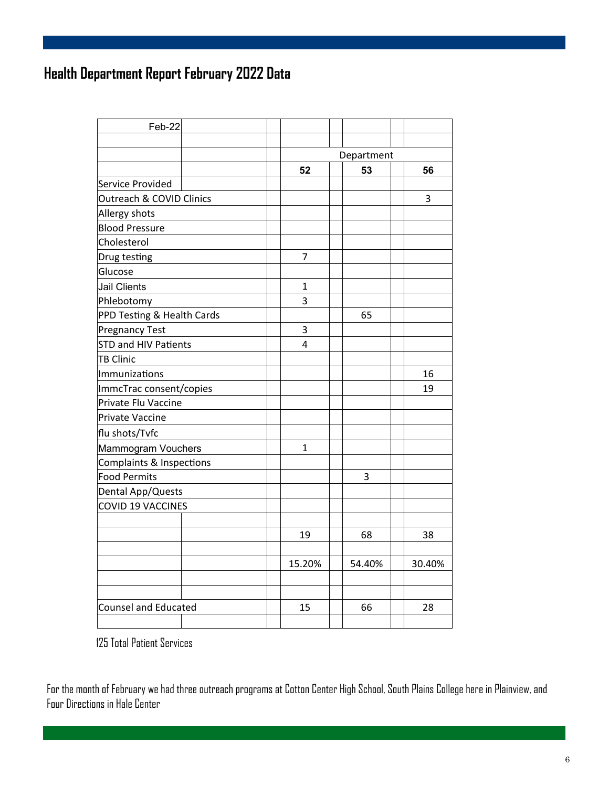### **Health Department Report February 2022 Data**

| Feb-22                      |  |                |  |        |  |        |
|-----------------------------|--|----------------|--|--------|--|--------|
|                             |  |                |  |        |  |        |
|                             |  | Department     |  |        |  |        |
|                             |  | 52             |  | 53     |  | 56     |
| Service Provided            |  |                |  |        |  |        |
| Outreach & COVID Clinics    |  |                |  |        |  | 3      |
| Allergy shots               |  |                |  |        |  |        |
| <b>Blood Pressure</b>       |  |                |  |        |  |        |
| Cholesterol                 |  |                |  |        |  |        |
| Drug testing                |  | $\overline{7}$ |  |        |  |        |
| Glucose                     |  |                |  |        |  |        |
| <b>Jail Clients</b>         |  | $\mathbf{1}$   |  |        |  |        |
| Phlebotomy                  |  | 3              |  |        |  |        |
| PPD Testing & Health Cards  |  |                |  | 65     |  |        |
| <b>Pregnancy Test</b>       |  | 3              |  |        |  |        |
| <b>STD and HIV Patients</b> |  | 4              |  |        |  |        |
| <b>TB Clinic</b>            |  |                |  |        |  |        |
| Immunizations               |  |                |  |        |  | 16     |
| ImmcTrac consent/copies     |  |                |  |        |  | 19     |
| Private Flu Vaccine         |  |                |  |        |  |        |
| Private Vaccine             |  |                |  |        |  |        |
| flu shots/Tvfc              |  |                |  |        |  |        |
| Mammogram Vouchers          |  | 1              |  |        |  |        |
| Complaints & Inspections    |  |                |  |        |  |        |
| <b>Food Permits</b>         |  |                |  | 3      |  |        |
| Dental App/Quests           |  |                |  |        |  |        |
| <b>COVID 19 VACCINES</b>    |  |                |  |        |  |        |
|                             |  |                |  |        |  |        |
|                             |  | 19             |  | 68     |  | 38     |
|                             |  |                |  |        |  |        |
|                             |  | 15.20%         |  | 54.40% |  | 30.40% |
|                             |  |                |  |        |  |        |
|                             |  |                |  |        |  |        |
| <b>Counsel and Educated</b> |  | 15             |  | 66     |  | 28     |
|                             |  |                |  |        |  |        |

125 Total Patient Services

For the month of February we had three outreach programs at Cotton Center High School, South Plains College here in Plainview, and Four Directions in Hale Center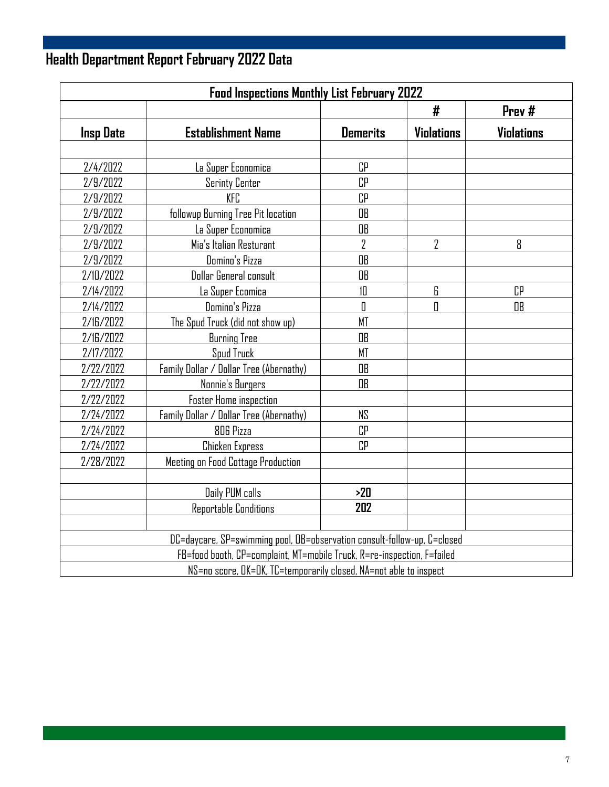## **Health Department Report February 2022 Data**

|                  | <b>Food Inspections Monthly List February 2022</b>                       |                 |                   |                   |  |  |
|------------------|--------------------------------------------------------------------------|-----------------|-------------------|-------------------|--|--|
|                  |                                                                          |                 | #                 | Prev#             |  |  |
| <b>Insp Date</b> | <b>Establishment Name</b>                                                | <b>Demerits</b> | <b>Violations</b> | <b>Violations</b> |  |  |
|                  |                                                                          |                 |                   |                   |  |  |
| 2/4/2022         | La Super Economica                                                       | CP              |                   |                   |  |  |
| 2/9/2022         | <b>Serinty Center</b>                                                    | CP              |                   |                   |  |  |
| 2/9/2022         | KFC                                                                      | CP              |                   |                   |  |  |
| 2/9/2022         | followup Burning Tree Pit location                                       | <b>OB</b>       |                   |                   |  |  |
| 2/9/2022         | La Super Economica                                                       | OB              |                   |                   |  |  |
| 2/9/2022         | Mia's Italian Resturant                                                  | $\overline{2}$  | $\overline{2}$    | 8                 |  |  |
| 2/9/2022         | Domino's Pizza                                                           | <b>OB</b>       |                   |                   |  |  |
| 2/10/2022        | Dollar General consult                                                   | OB              |                   |                   |  |  |
| 2/14/2022        | La Super Ecomica                                                         | 10              | 6                 | CP                |  |  |
| 2/14/2022        | Domino's Pizza                                                           | О               | Π                 | OB                |  |  |
| 2/16/2022        | The Spud Truck (did not show up)                                         | MT              |                   |                   |  |  |
| 2/16/2022        | <b>Burning Tree</b>                                                      | OB              |                   |                   |  |  |
| 2/17/2022        | Spud Truck                                                               | MT              |                   |                   |  |  |
| 2/22/2022        | Family Dollar / Dollar Tree (Abernathy)                                  | OB              |                   |                   |  |  |
| 2/22/2022        | Nonnie's Burgers                                                         | OB              |                   |                   |  |  |
| 2/22/2022        | <b>Foster Home inspection</b>                                            |                 |                   |                   |  |  |
| 2/24/2022        | Family Dollar / Dollar Tree (Abernathy)                                  | NS              |                   |                   |  |  |
| 2/24/2022        | 806 Pizza                                                                | СP              |                   |                   |  |  |
| 2/24/2022        | Chicken Express                                                          | СP              |                   |                   |  |  |
| 2/28/2022        | Meeting on Food Cottage Production                                       |                 |                   |                   |  |  |
|                  |                                                                          |                 |                   |                   |  |  |
|                  | Daily PUM calls                                                          | >20             |                   |                   |  |  |
|                  | Reportable Conditions                                                    | 202             |                   |                   |  |  |
|                  |                                                                          |                 |                   |                   |  |  |
|                  | DC=daycare, SP=swimming pool, OB=observation consult-follow-up, C=closed |                 |                   |                   |  |  |
|                  | FB=food booth, CP=complaint, MT=mobile Truck, R=re-inspection, F=failed  |                 |                   |                   |  |  |
|                  | NS=no score, OK=OK, TC=temporarily closed, NA=not able to inspect        |                 |                   |                   |  |  |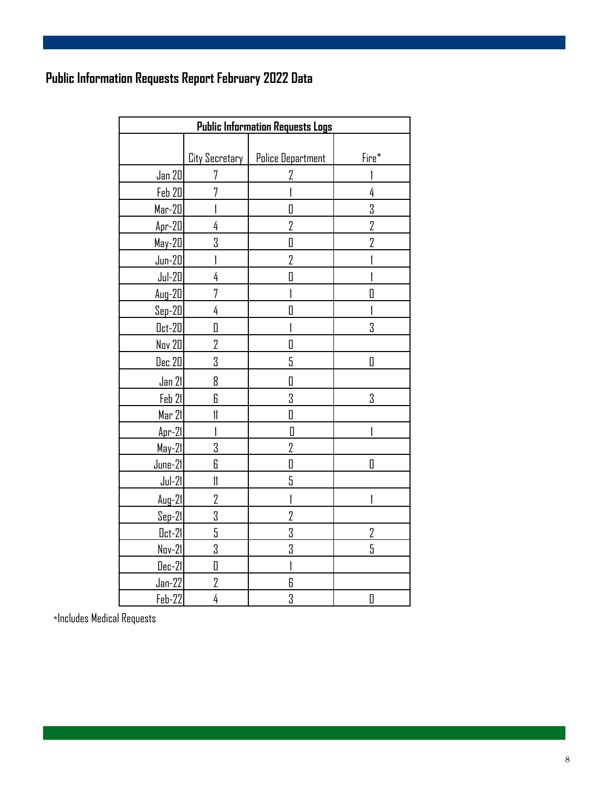### **Public Information Requests Report February 2022 Data**

| <b>Public Information Requests Logs</b> |                         |                          |                         |  |  |  |  |
|-----------------------------------------|-------------------------|--------------------------|-------------------------|--|--|--|--|
|                                         |                         |                          |                         |  |  |  |  |
|                                         | <b>City Secretary</b>   | <b>Police Department</b> | Fire*                   |  |  |  |  |
| Jan 20                                  | 7                       | 7                        |                         |  |  |  |  |
| Feb 20                                  | 7                       |                          | 4                       |  |  |  |  |
| Mar-20                                  | 1                       | 0                        | 3                       |  |  |  |  |
| $Apr-20$                                | 4                       | $\overline{2}$           | 2                       |  |  |  |  |
| May-20                                  | 3                       | O                        | $\overline{2}$          |  |  |  |  |
| $Jun-20$                                | Í                       | $\overline{2}$           |                         |  |  |  |  |
| $Jul-20$                                | 4                       | 0                        |                         |  |  |  |  |
| $Aug-20$                                | 7                       |                          | $\overline{\mathbf{a}}$ |  |  |  |  |
| <u>Sep-20</u>                           | 4                       | 0                        |                         |  |  |  |  |
| $0ct-20$                                | 0                       |                          | 3                       |  |  |  |  |
| <b>Nov 20</b>                           | 2                       | 0                        |                         |  |  |  |  |
| Dec 20                                  | 3                       | 5                        | 0                       |  |  |  |  |
| Jan 21                                  | 8                       | 0                        |                         |  |  |  |  |
| Feb 21                                  | 6                       | 3                        | 3                       |  |  |  |  |
| Mar 21                                  | $\mathfrak{m}$          | 0                        |                         |  |  |  |  |
| Apr-21                                  | $\overline{1}$          | O                        | 1                       |  |  |  |  |
| May-21                                  | 3                       | 2                        |                         |  |  |  |  |
| $June-21$                               | 6                       | 0                        | O                       |  |  |  |  |
| $Jul-21$                                | $\mathfrak{m}$          | 5                        |                         |  |  |  |  |
| Aug-21                                  | $\sqrt{2}$              |                          |                         |  |  |  |  |
| <b>Sep-21</b>                           | 3                       | $\overline{2}$           |                         |  |  |  |  |
| <u>0ct-21</u>                           | 5                       | 3                        | $\overline{2}$          |  |  |  |  |
| <u>Nov-21</u>                           | 3                       | 3                        | 5                       |  |  |  |  |
| Dec-21                                  | $\overline{\mathbf{u}}$ |                          |                         |  |  |  |  |
| $Jan-22$                                | 2                       | 6                        |                         |  |  |  |  |
| Feb-22                                  | 4                       | 3                        | 0                       |  |  |  |  |

\*Includes Medical Requests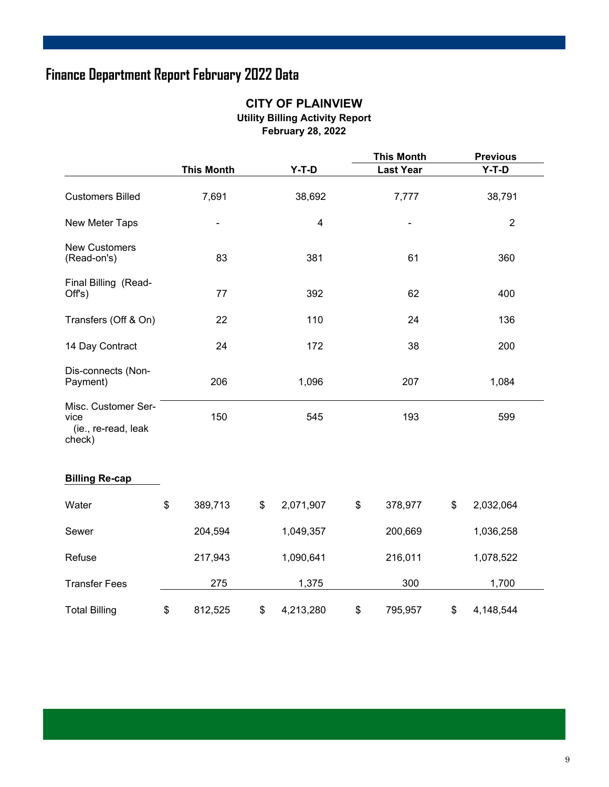### **Finance Department Report February 2022 Data**

#### **CITY OF PLAINVIEW Utility Billing Activity Report February 28, 2022**

|                                                              |                   |                         | <b>This Month</b> | <b>Previous</b> |  |
|--------------------------------------------------------------|-------------------|-------------------------|-------------------|-----------------|--|
|                                                              | <b>This Month</b> | $Y-T-D$                 | <b>Last Year</b>  | $Y-T-D$         |  |
| <b>Customers Billed</b>                                      | 7,691             | 38,692                  | 7,777             | 38,791          |  |
| New Meter Taps                                               |                   | $\overline{\mathbf{4}}$ |                   | $\overline{2}$  |  |
| <b>New Customers</b><br>(Read-on's)                          | 83                | 381                     | 61                | 360             |  |
| Final Billing (Read-<br>Off's)                               | 77                | 392                     | 62                | 400             |  |
| Transfers (Off & On)                                         | 22                | 110                     | 24                | 136             |  |
| 14 Day Contract                                              | 24                | 172                     | 38                | 200             |  |
| Dis-connects (Non-<br>Payment)                               | 206               | 1,096                   | 207               | 1,084           |  |
| Misc. Customer Ser-<br>vice<br>(ie., re-read, leak<br>check) | 150               | 545                     | 193               | 599             |  |
| <b>Billing Re-cap</b>                                        |                   |                         |                   |                 |  |
| Water                                                        | \$<br>389,713     | \$<br>2,071,907         | \$<br>378,977     | \$<br>2,032,064 |  |
| Sewer                                                        | 204,594           | 1,049,357               | 200,669           | 1,036,258       |  |
| Refuse                                                       | 217,943           | 1,090,641               | 216,011           | 1,078,522       |  |
| <b>Transfer Fees</b>                                         | 275               | 1,375                   | 300               | 1,700           |  |
| <b>Total Billing</b>                                         | \$<br>812,525     | \$<br>4,213,280         | \$<br>795,957     | \$<br>4,148,544 |  |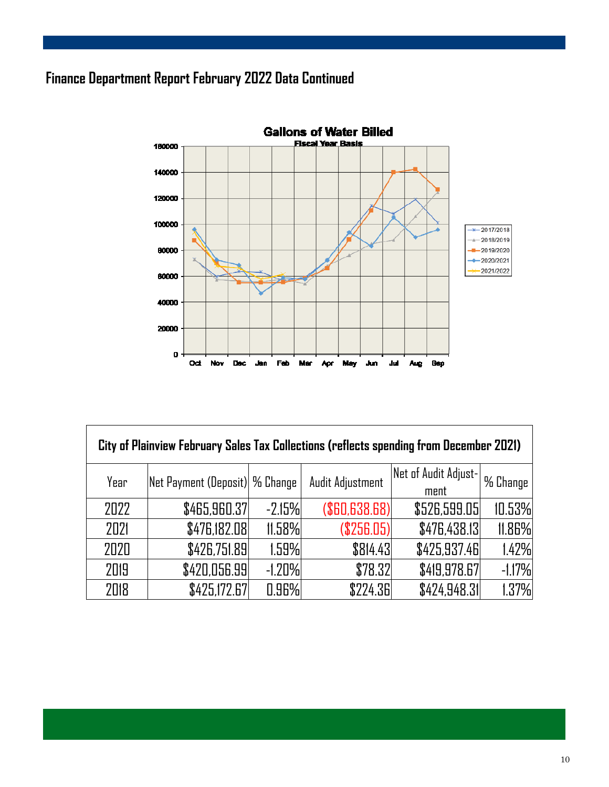### **Finance Department Report February 2022 Data Continued**



| City of Plainview February Sales Tax Collections (reflects spending from December 2021) |                                       |           |                  |                              |            |
|-----------------------------------------------------------------------------------------|---------------------------------------|-----------|------------------|------------------------------|------------|
| Year                                                                                    | <b>Net Payment (Deposit) % Change</b> |           | Audit Adjustment | Net of Audit Adjust-<br>ment | 1 % Change |
| 2022                                                                                    | \$465,960.37                          | $-2.15%$  | (\$B0, 638.68)   | \$526,599.05                 | 10.53%     |
| 2021                                                                                    | \$476,182.08                          | 11.58%    | (\$256.05)       | \$476,438.13                 | 11.86%     |
| 2020                                                                                    | \$426,751.89                          | 1.59%     | \$814.43         | \$425,937.46                 | 1.42%      |
| 2019                                                                                    | \$420,056.99                          | $-1.20\%$ | \$78.32          | \$419,978.67                 | $-1.17%$   |
| 2018                                                                                    | \$425,172.67                          | 0.96%     | \$224.36         | \$424,948.31                 | 1.37%      |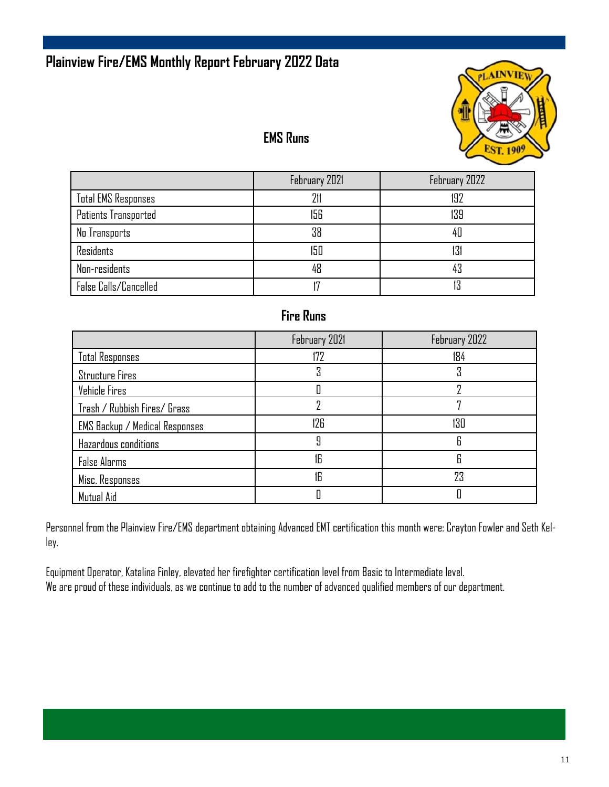### **Plainview Fire/EMS Monthly Report February 2022 Data**



#### **EMS Runs**

|                            | February 2021 | February 2022 |
|----------------------------|---------------|---------------|
| <b>Total EMS Responses</b> | 211           | 192           |
| Patients Transported       | 156           | 139           |
| No Transports              | 38            | 40            |
| <b>Residents</b>           | 150           | 131           |
| Non-residents              | 48            | 43            |
| False Calls/Cancelled      |               | 13            |

#### **Fire Runs**

|                                       | February 2021 | February 2022 |
|---------------------------------------|---------------|---------------|
| <b>Total Responses</b>                | 172           | 184           |
| <b>Structure Fires</b>                |               |               |
| Vehicle Fires                         |               |               |
| Trash / Rubbish Fires/ Grass          |               |               |
| <b>EMS Backup / Medical Responses</b> | 126           | 130           |
| Hazardous conditions                  | 9             | 6             |
| <b>False Alarms</b>                   | 16            | 6             |
| Misc. Responses                       | 16            | 23            |
| Mutual Aid                            |               |               |

Personnel from the Plainview Fire/EMS department obtaining Advanced EMT certification this month were: Crayton Fowler and Seth Kelley.

Equipment Operator, Katalina Finley, elevated her firefighter certification level from Basic to Intermediate level. We are proud of these individuals, as we continue to add to the number of advanced qualified members of our department.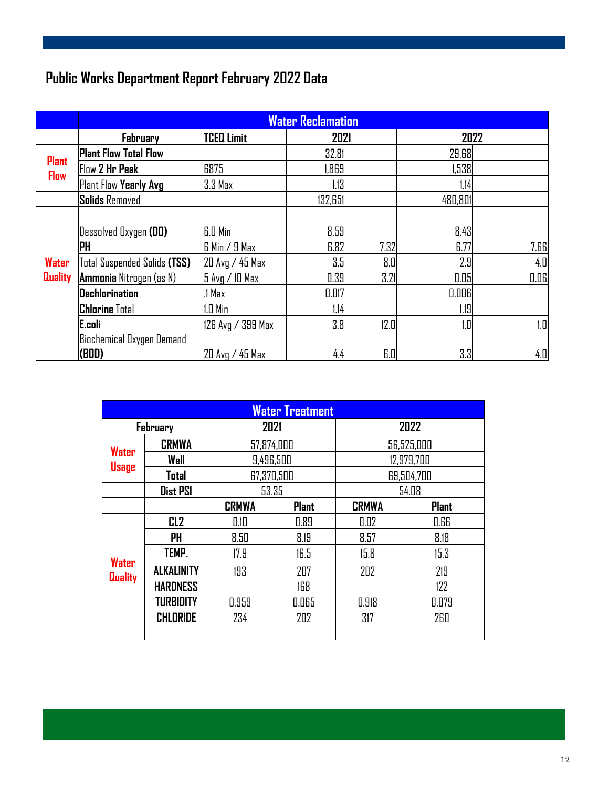### **Public Works Department Report February 2022 Data**

|                             | <b>Water Reclamation</b>                |                   |         |      |         |      |
|-----------------------------|-----------------------------------------|-------------------|---------|------|---------|------|
|                             | <b>February</b>                         | <b>TCEQ Limit</b> | 2021    |      | 2022    |      |
|                             | <b>Plant Flow Total Flow</b>            |                   | 32.81   |      | 29.68   |      |
| <b>Plant</b><br><b>Flow</b> | Flow 2 Hr Peak                          | 6875              | 1,869   |      | 1,538   |      |
|                             | Plant Flow Yearly Avg                   | 3.3 Max           | 1.13    |      | 1.14    |      |
|                             | <b>Solids Removed</b>                   |                   | 132,651 |      | 480,801 |      |
|                             |                                         |                   |         |      |         |      |
|                             | Dessolved Oxygen (DO)                   | <b>G.O Min</b>    | 8.59    |      | 8.43    |      |
|                             | IΡH                                     | $6$ Min / 9 Max   | 6.82    | 7.32 | 6.77    | 7.66 |
| <b>Water</b>                | Total Suspended Solids $(\mathrm{TSS})$ | 20 Avg / 45 Max   | 3.5     | 8.0  | 2.9     | 4.0  |
| <b>Quality</b>              | Ammonia Nitrogen (as N)                 | 5 Avg / 10 Max    | 0.39    | 3.21 | 0.05    | 0.06 |
|                             | Dechlorination                          | .1 Max            | 0.017   |      | 0.006   |      |
|                             | <b>Chlorine Total</b>                   | I.D Min           | 1.14    |      | 1.19    |      |
|                             | E.coli                                  | 126 Avg / 399 Max | 3.8     | 12.0 | 1.0     | 1.0  |
|                             | Biochemical Oxygen Demand               |                   |         |      |         |      |
|                             | (BDD)                                   | 20 Avg / 45 Max   | 4.4     | 6.0  | 3.3     | 4.0  |

| <b>Water Treatment</b>       |                   |              |              |              |              |  |
|------------------------------|-------------------|--------------|--------------|--------------|--------------|--|
|                              | <b>February</b>   | 2021         |              | 2022         |              |  |
|                              | <b>CRMWA</b>      | 57,874,000   |              | 56,525,000   |              |  |
| <b>Water</b><br><b>Usage</b> | Well              | 9,496,500    |              |              | 12,979,700   |  |
|                              | Total             | 67,370,500   |              |              | 69,504,700   |  |
|                              | <b>Dist PSI</b>   | 53.35        |              |              | 54.08        |  |
|                              |                   | <b>CRMWA</b> | <b>Plant</b> | <b>CRMWA</b> | <b>Plant</b> |  |
|                              | CL <sub>2</sub>   | 0.10         | 0.89         | 0.02         | 0.66         |  |
|                              | PH                | 8.50         | 8.19         | 8.57         | 8.18         |  |
|                              | TEMP.             | 17.9         | 16.5         | 15.8         | 15.3         |  |
| Water<br><b>Quality</b>      | <b>ALKALINITY</b> | 193          | 207          | 202          | 219          |  |
|                              | <b>HARDNESS</b>   |              | 168          |              | 122          |  |
|                              | <b>TURBIDITY</b>  | 0.959        | 0.065        | 0.918        | 0.079        |  |
|                              | CHLORIDE          | 234          | 202          | 317          | 260          |  |
|                              |                   |              |              |              |              |  |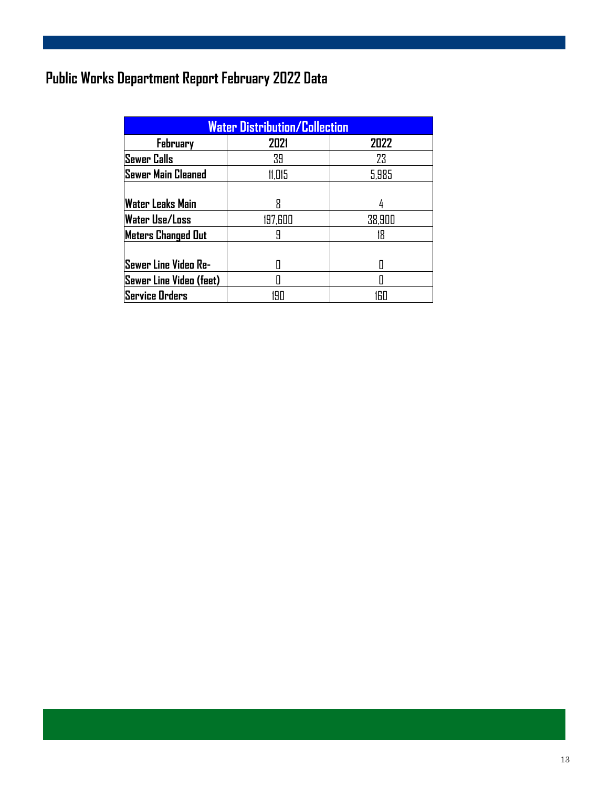### **Public Works Department Report February 2022 Data**

| <b>Water Distribution/Collection</b> |         |        |  |  |  |
|--------------------------------------|---------|--------|--|--|--|
| <b>February</b>                      | 2021    | 2022   |  |  |  |
| <b>Sewer Calls</b>                   | 39      | 23     |  |  |  |
| <b>Sewer Main Cleaned</b>            | 11,015  | 5,985  |  |  |  |
|                                      |         |        |  |  |  |
| <b>Water Leaks Main</b>              | R       |        |  |  |  |
| <b>Water Use/Loss</b>                | 197,600 | 38,900 |  |  |  |
| <b>Meters Changed Out</b>            | Я       | 18     |  |  |  |
|                                      |         |        |  |  |  |
| Sewer Line Video Re-                 |         |        |  |  |  |
| Sewer Line Video (feet)              |         |        |  |  |  |
| <b>Service Orders</b>                |         | '61    |  |  |  |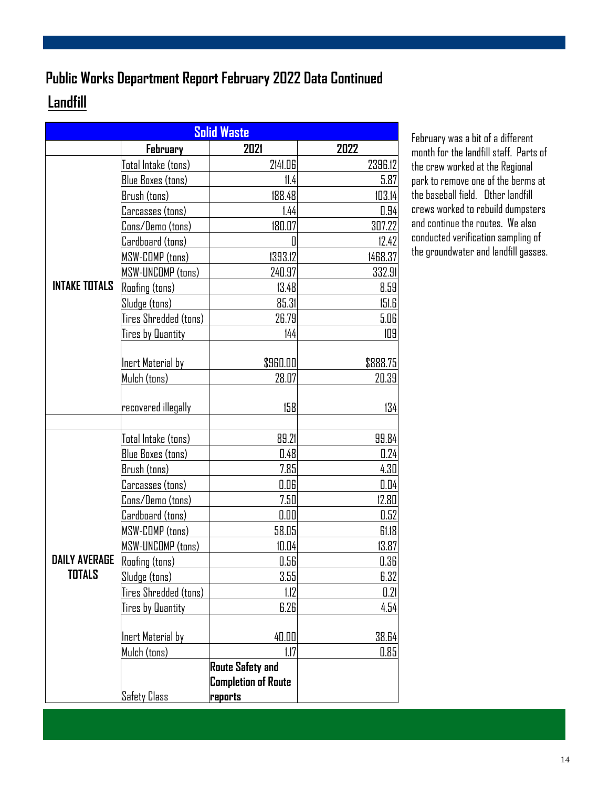### **Landfill Public Works Department Report February 2022 Data Continued**

| <b>Solid Waste</b>   |                          |                            |          |  |  |
|----------------------|--------------------------|----------------------------|----------|--|--|
|                      | <b>February</b>          | 2021                       | 2022     |  |  |
|                      | Total Intake (tons)      | 2141.06                    | 2396.12  |  |  |
|                      | Blue Boxes (tons)        | 11.4                       | 5.87     |  |  |
|                      | Brush (tons)             | 188.48                     | 103.14   |  |  |
|                      | Carcasses (tons)         | 1.44                       | 0.94     |  |  |
|                      | Cons/Demo (tons)         | 180.07                     | 307.22   |  |  |
|                      | Cardboard (tons)         | 0                          | 12.42    |  |  |
|                      | MSW-COMP (tons)          | 1393.12                    | 1468.37  |  |  |
|                      | MSW-UNCOMP (tons)        | 240.97                     | 332.91   |  |  |
| <b>INTAKE TOTALS</b> | <b>Roofing (tons)</b>    | 13.48                      | 8.59     |  |  |
|                      | Sludge (tons)            | 85.31                      | 151.6    |  |  |
|                      | Tires Shredded (tons)    | 26.79                      | 5.06     |  |  |
|                      | Tires by Quantity        | 144                        | 109      |  |  |
|                      |                          |                            |          |  |  |
|                      | Inert Material by        | \$960.00                   | \$888.75 |  |  |
|                      | Mulch (tons)             | 28.07                      | 20.39    |  |  |
|                      |                          |                            |          |  |  |
|                      | recovered illegally      | 158                        | 134      |  |  |
|                      |                          |                            |          |  |  |
|                      | Total Intake (tons)      | 89.21                      | 99.84    |  |  |
|                      | Blue Boxes (tons)        | 0.48                       | 0.24     |  |  |
|                      | Brush (tons)             | 7.85                       | 4.30     |  |  |
|                      | Carcasses (tons)         | 0.06                       | 0.04     |  |  |
|                      | Cons/Demo (tons)         | 7.50                       | 12.80    |  |  |
|                      | Cardboard (tons)         | 0.00                       | 0.52     |  |  |
|                      | MSW-COMP (tons)          | 58.05                      | 61.18    |  |  |
|                      | MSW-UNCOMP (tons)        | 10.04                      | 13.87    |  |  |
| <b>DAILY AVERAGE</b> | <b>Roofing (tons)</b>    | 0.56                       | 0.36     |  |  |
| TOTALS               | Sludge (tons)            | 3.55                       | 6.32     |  |  |
|                      | Tires Shredded (tons)    | 1.12                       | 0.21     |  |  |
|                      | <b>Tires by Quantity</b> | 6.26                       | 4.54     |  |  |
|                      |                          |                            |          |  |  |
|                      | Inert Material by        | 40.00                      | 38.64    |  |  |
|                      | Mulch (tons)             | 1.17                       | 0.85     |  |  |
|                      |                          | <b>Route Safety and</b>    |          |  |  |
|                      |                          | <b>Completion of Route</b> |          |  |  |
|                      | <b>Safety Class</b>      | reports                    |          |  |  |

February was a bit of a different month for the landfill staff. Parts of the crew worked at the Regional park to remove one of the berms at the baseball field. Other landfill crews worked to rebuild dumpsters and continue the routes. We also conducted verification sampling of the groundwater and landfill gasses.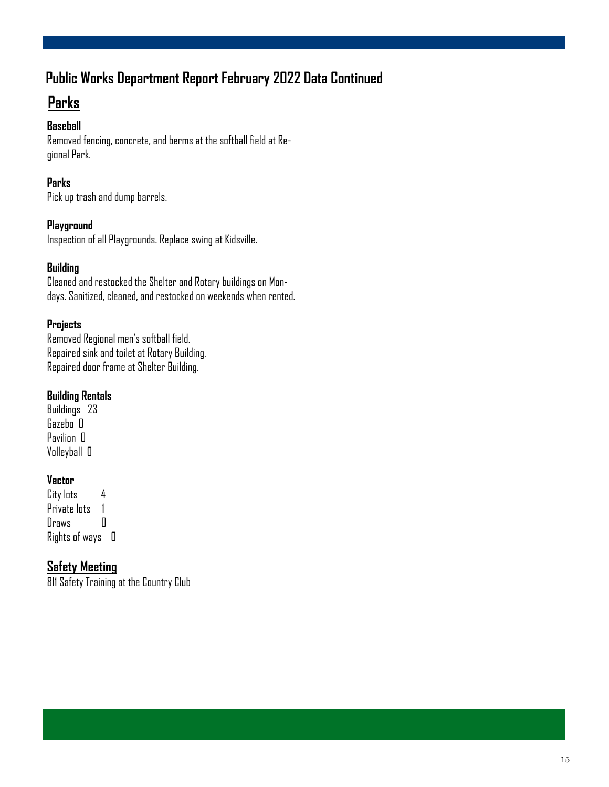### **Public Works Department Report February 2022 Data Continued**

### **Parks**

#### **Baseball**

Removed fencing, concrete, and berms at the softball field at Regional Park.

#### **Parks**

Pick up trash and dump barrels.

#### **Playground**

Inspection of all Playgrounds. Replace swing at Kidsville.

#### **Building**

Cleaned and restocked the Shelter and Rotary buildings on Mondays. Sanitized, cleaned, and restocked on weekends when rented.

#### **Projects**

Removed Regional men's softball field. Repaired sink and toilet at Rotary Building. Repaired door frame at Shelter Building.

#### **Building Rentals**

Buildings 23 Gazebo 0 Pavilion 0 Volleyball 0

#### **Vector**

City lots 4 Private lots 1 Draws 0 Rights of ways 0

#### **Safety Meeting**

811 Safety Training at the Country Club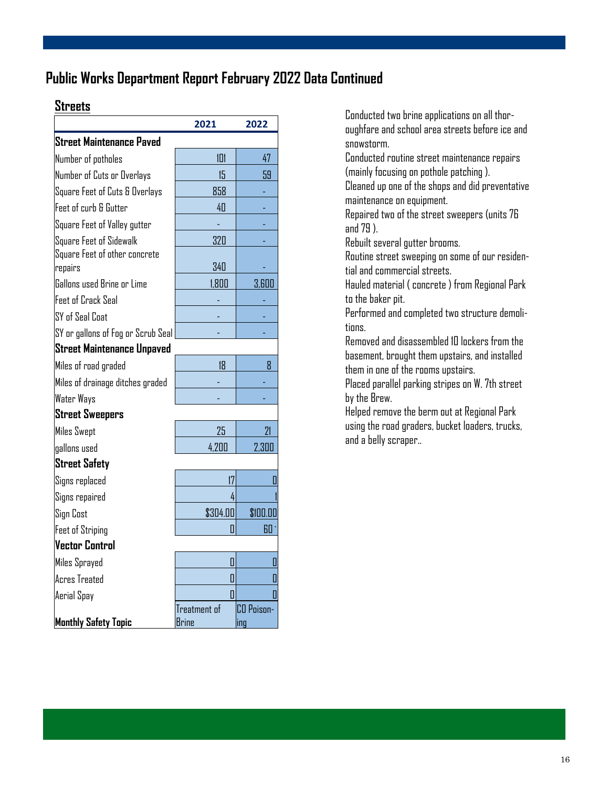#### **Public Works Department Report February 2022 Data Continued**

|                                    | 2021         | 2022              |
|------------------------------------|--------------|-------------------|
| <b>Street Maintenance Paved</b>    |              |                   |
| Number of potholes                 | 101          | 47                |
| Number of Cuts or Overlays         | 15           | 59                |
| Square Feet of Cuts & Overlays     | 858          |                   |
| Feet of curb & Gutter              | 40           |                   |
| Square Feet of Valley gutter       |              |                   |
| Square Feet of Sidewalk            | 320          |                   |
| Square Feet of other concrete      |              |                   |
| repairs                            | 340          |                   |
| Gallons used Brine or Lime         | 1,800        | 3,600             |
| <b>Feet of Crack Seal</b>          |              |                   |
| SY of Seal Coat                    |              |                   |
| SY or gallons of Fog or Scrub Seal |              |                   |
| <b>Street Maintenance Unpaved</b>  |              |                   |
| Miles of road graded               | 18           | 8                 |
| Miles of drainage ditches graded   |              |                   |
| Water Ways                         |              |                   |
| <b>Street Sweepers</b>             |              |                   |
| <b>Miles Swept</b>                 | 25           | 21                |
| gallons used                       | 4,200        | 2,300             |
| <b>Street Safety</b>               |              |                   |
| Signs replaced                     | 17           | Ш                 |
| Signs repaired                     | 4            |                   |
| Sign Cost                          | \$304.00     | \$100.00          |
| <b>Feet of Striping</b>            | П            | $60^{\circ}$      |
| <b>Vector Control</b>              |              |                   |
| Miles Sprayed                      | 0            |                   |
| <b>Acres Treated</b>               | 0            | П                 |
| Aerial Spay                        | Π            | П                 |
|                                    | Treatment of | <b>CO</b> Poison- |
| <b>Monthly Safety Topic</b>        | Brine        | ing               |

**Streets** Conducted two brine applications on all thoroughfare and school area streets before ice and snowstorm.

> Conducted routine street maintenance repairs (mainly focusing on pothole patching ).

Cleaned up one of the shops and did preventative maintenance on equipment.

Repaired two of the street sweepers (units 76 and 79 ).

Rebuilt several gutter brooms.

Routine street sweeping on some of our residential and commercial streets.

Hauled material ( concrete ) from Regional Park to the baker pit.

Performed and completed two structure demolitions.

Removed and disassembled 10 lockers from the basement, brought them upstairs, and installed them in one of the rooms upstairs.

Placed parallel parking stripes on W. 7th street by the Brew.

Helped remove the berm out at Regional Park using the road graders, bucket loaders, trucks, and a belly scraper..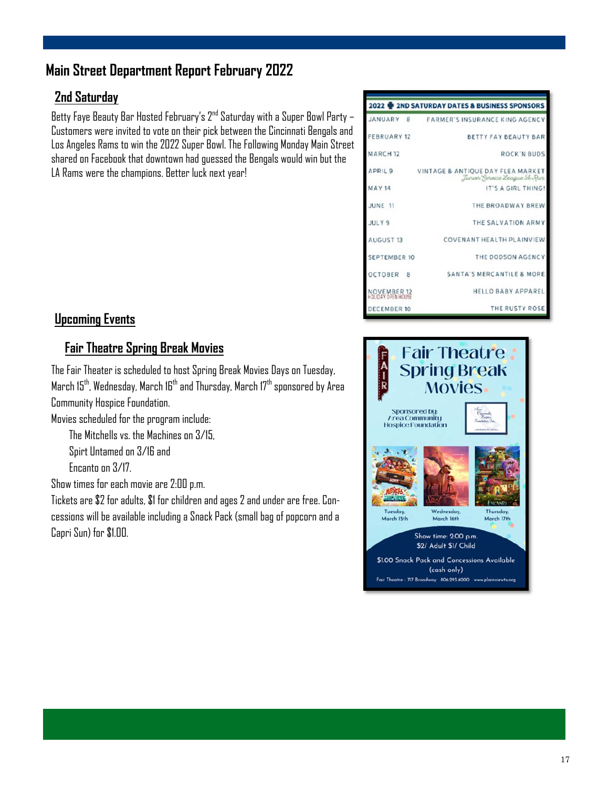#### **Main Street Department Report February 2022**

#### **2nd Saturday**

Betty Faye Beauty Bar Hosted February's 2nd Saturday with a Super Bowl Party – Customers were invited to vote on their pick between the Cincinnati Bengals and Los Angeles Rams to win the 2022 Super Bowl. The Following Monday Main Street shared on Facebook that downtown had guessed the Bengals would win but the LA Rams were the champions. Better luck next year!



#### **Fair Theatre Spring Break Movies**

The Fair Theater is scheduled to host Spring Break Movies Days on Tuesday, March  $15^{th}$ , Wednesday, March  $16^{th}$  and Thursday, March  $17^{th}$  sponsored by Area Community Hospice Foundation.

Movies scheduled for the program include:

The Mitchells vs. the Machines on 3/15, Spirt Untamed on 3/16 and Encanto on 3/17.

Show times for each movie are 2:00 p.m.

Tickets are \$2 for adults, \$1 for children and ages 2 and under are free. Concessions will be available including a Snack Pack (small bag of popcorn and a Capri Sun) for \$1.00.

|                      | 2022 2ND SATURDAY DATES & BUSINESS SPONSORS                       |
|----------------------|-------------------------------------------------------------------|
| <b>JANUARY</b><br>8  | <b>FARMER'S INSURANCE KING AGENCY</b>                             |
| FEBRUARY 12          | BETTY FAY BEAUTY BAR                                              |
| MARCH <sub>12</sub>  | <b>ROCK'N BUDS</b>                                                |
| APRIL 9              | VINTAGE & ANTIQUE DAY FLEA MARKET<br>Turior Service League 56 Pur |
| <b>MAY 14</b>        | IT'S A GIRL THING!                                                |
| JUNE 11              | THE BROADWAY BREW                                                 |
| JULY 9               | THE SALVATION ARMY                                                |
| AUGUST <sub>13</sub> | COVENANT HEALTH PLAINVIEW                                         |
| SEPTEMBER 10         | THE DODSON AGENCY                                                 |
| OCTOBER 8            | SANTA'S MERCANTILE & MORE                                         |
| NOVEMBER 12          | <b>HELLO BABY APPAREL</b>                                         |
| DECEMBER 10          | THE RUSTY ROSE                                                    |

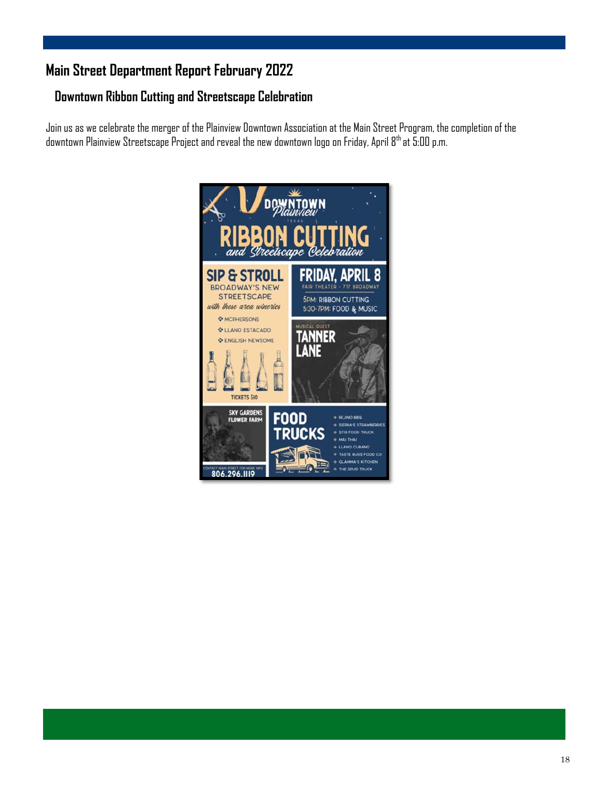### **Main Street Department Report February 2022**

#### **Downtown Ribbon Cutting and Streetscape Celebration**

Join us as we celebrate the merger of the Plainview Downtown Association at the Main Street Program, the completion of the downtown Plainview Streetscape Project and reveal the new downtown logo on Friday, April 8th at 5:00 p.m.

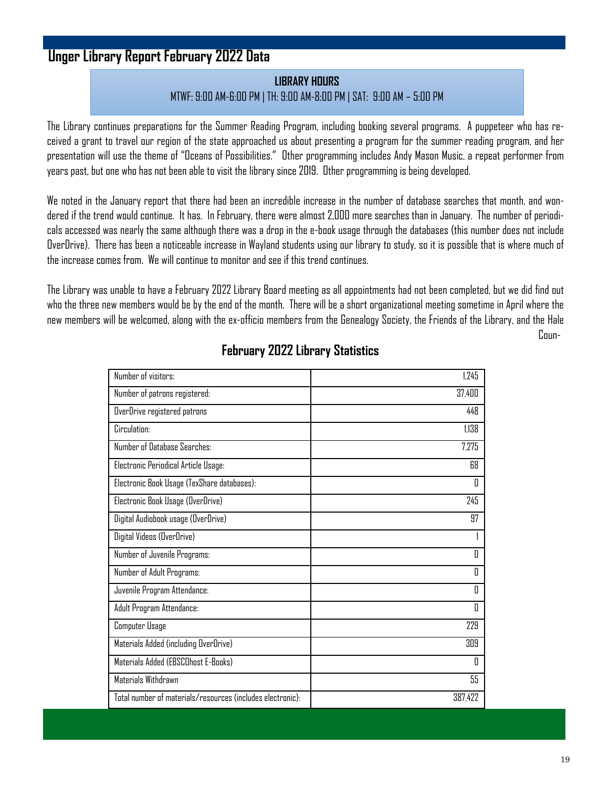#### **Unger Library Report February 2022 Data**

#### **LIBRARY HOURS**

MTWF: 9:00 AM-6:00 PM | TH: 9:00 AM-8:00 PM | SAT: 9:00 AM – 5:00 PM

The Library continues preparations for the Summer Reading Program, including booking several programs. A puppeteer who has received a grant to travel our region of the state approached us about presenting a program for the summer reading program, and her presentation will use the theme of "Oceans of Possibilities." Other programming includes Andy Mason Music, a repeat performer from years past, but one who has not been able to visit the library since 2019. Other programming is being developed.

We noted in the January report that there had been an incredible increase in the number of database searches that month, and wondered if the trend would continue. It has. In February, there were almost 2,000 more searches than in January. The number of periodicals accessed was nearly the same although there was a drop in the e-book usage through the databases (this number does not include OverDrive). There has been a noticeable increase in Wayland students using our library to study, so it is possible that is where much of the increase comes from. We will continue to monitor and see if this trend continues.

The Library was unable to have a February 2022 Library Board meeting as all appointments had not been completed, but we did find out who the three new members would be by the end of the month. There will be a short organizational meeting sometime in April where the new members will be welcomed, along with the ex-officio members from the Genealogy Society, the Friends of the Library, and the Hale

Coun-

| Number of visitors:                                        | 1.245   |
|------------------------------------------------------------|---------|
| Number of patrons registered:                              | 37,400  |
| OverDrive registered patrons                               | 448     |
| Circulation:                                               | 1,138   |
| Number of Database Searches:                               | 7,275   |
| Electronic Periodical Article Usage:                       | 68      |
| Electronic Book Usage (TexShare databases):                | Π       |
| Electronic Book Usage (OverDrive)                          | 245     |
| Digital Audiobook usage (OverDrive)                        | 97      |
| Digital Videos (OverDrive)                                 |         |
| Number of Juvenile Programs:                               | Π       |
| Number of Adult Programs:                                  | 0       |
| Juvenile Program Attendance:                               | O       |
| Adult Program Attendance:                                  | 0       |
| Computer Usage                                             | 229     |
| Materials Added (including OverDrive)                      | 309     |
| Materials Added (EBSCOhost E-Books)                        | O       |
| Materials Withdrawn                                        | 55      |
| Total number of materials/resources (includes electronic): | 387,422 |

#### **February 2022 Library Statistics**